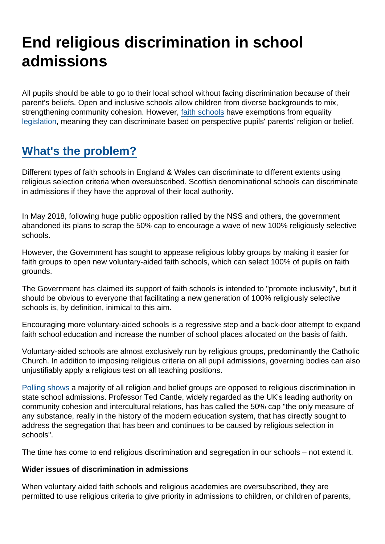# End religious discrimination in school admissions

All pupils should be able to go to their local school without facing discrimination because of their parent's beliefs. Open and inclusive schools allow children from diverse backgrounds to mix, strengthening community cohesion. However, [faith schools](https://www.secularism.org.uk/faith-schools/) have exemptions from equality [legislation](https://www.secularism.org.uk/defend-equality-laws/faith-shaped-holes-how-religious.html), meaning they can discriminate based on perspective pupils' parents' religion or belief.

### [What's the problem?](https://www.secularism.org.uk/faith-schools/admissions.html#e-202184-a)

Different types of faith schools in England & Wales can discriminate to different extents using religious selection criteria when oversubscribed. Scottish denominational schools can discriminate in admissions if they have the approval of their local authority.

In May 2018, following huge public opposition rallied by the NSS and others, the government abandoned its plans to scrap the 50% cap to encourage a wave of new 100% religiously selective schools.

However, the Government has sought to appease religious lobby groups by making it easier for faith groups to open new voluntary-aided faith schools, which can select 100% of pupils on faith grounds.

The Government has claimed its support of faith schools is intended to "promote inclusivity", but it should be obvious to everyone that facilitating a new generation of 100% religiously selective schools is, by definition, inimical to this aim.

Encouraging more voluntary-aided schools is a regressive step and a back-door attempt to expand faith school education and increase the number of school places allocated on the basis of faith.

Voluntary-aided schools are almost exclusively run by religious groups, predominantly the Catholic Church. In addition to imposing religious criteria on all pupil admissions, governing bodies can also unjustifiably apply a religious test on all teaching positions.

[Polling shows](https://www.secularism.org.uk/uploads/majority-of-all-religious-and-belief-groups-oppose-religious-selection-in-school-admissions-17.pdf) a majority of all religion and belief groups are opposed to religious discrimination in state school admissions. Professor Ted Cantle, widely regarded as the UK's leading authority on community cohesion and intercultural relations, has has called the 50% cap "the only measure of any substance, really in the history of the modern education system, that has directly sought to address the segregation that has been and continues to be caused by religious selection in schools".

The time has come to end religious discrimination and segregation in our schools – not extend it.

Wider issues of discrimination in admissions

When voluntary aided faith schools and religious academies are oversubscribed, they are permitted to use religious criteria to give priority in admissions to children, or children of parents,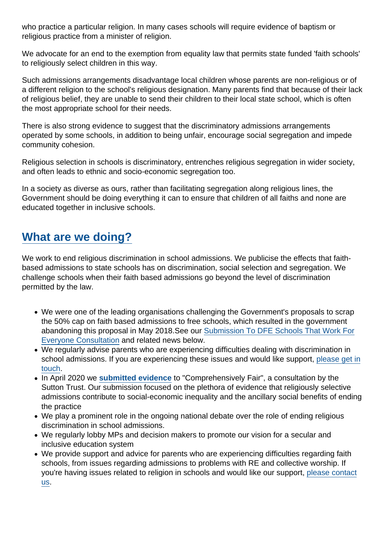who practice a particular religion. In many cases schools will require evidence of baptism or religious practice from a minister of religion.

We advocate for an end to the exemption from equality law that permits state funded 'faith schools' to religiously select children in this way.

Such admissions arrangements disadvantage local children whose parents are non-religious or of a different religion to the school's religious designation. Many parents find that because of their lack of religious belief, they are unable to send their children to their local state school, which is often the most appropriate school for their needs.

There is also strong evidence to suggest that the discriminatory admissions arrangements operated by some schools, in addition to being unfair, encourage social segregation and impede community cohesion.

Religious selection in schools is discriminatory, entrenches religious segregation in wider society, and often leads to ethnic and socio-economic segregation too.

In a society as diverse as ours, rather than facilitating segregation along religious lines, the Government should be doing everything it can to ensure that children of all faiths and none are educated together in inclusive schools.

## [What are we doing?](https://www.secularism.org.uk/faith-schools/admissions.html#e-202183-a)

We work to end religious discrimination in school admissions. We publicise the effects that faithbased admissions to state schools has on discrimination, social selection and segregation. We challenge schools when their faith based admissions go beyond the level of discrimination permitted by the law.

- We were one of the leading organisations challenging the Government's proposals to scrap the 50% cap on faith based admissions to free schools, which resulted in the government abandoning this proposal in May 2018.See our [Submission To DFE Schools That Work For](https://www.secularism.org.uk/uploads/submission-to-dfe-schools-that-work-for-everyone-consultation-6.pdf) [Everyone Consultation](https://www.secularism.org.uk/uploads/submission-to-dfe-schools-that-work-for-everyone-consultation-6.pdf) and related news below.
- We regularly advise parents who are experiencing difficulties dealing with discrimination in school admissions. If you are experiencing these issues and would like support, [please get in](https://www.secularism.org.uk/advice.html) [touch](https://www.secularism.org.uk/advice.html).
- In April 2020 we [submitted evidence](https://www.secularism.org.uk/uploads/comprehensively-fair-nss-consultation-response.pdf?v=1587731899) to "Comprehensively Fair", a consultation by the Sutton Trust. Our submission focused on the plethora of evidence that religiously selective admissions contribute to social-economic inequality and the ancillary social benefits of ending the practice
- We play a prominent role in the ongoing national debate over the role of ending religious discrimination in school admissions.
- We regularly lobby MPs and decision makers to promote our vision for a secular and inclusive education system
- We provide support and advice for parents who are experiencing difficulties regarding faith schools, from issues regarding admissions to problems with RE and collective worship. If you're having issues related to religion in schools and would like our support, [please contact](https://www.secularism.org.uk/advice.html) [us.](https://www.secularism.org.uk/advice.html)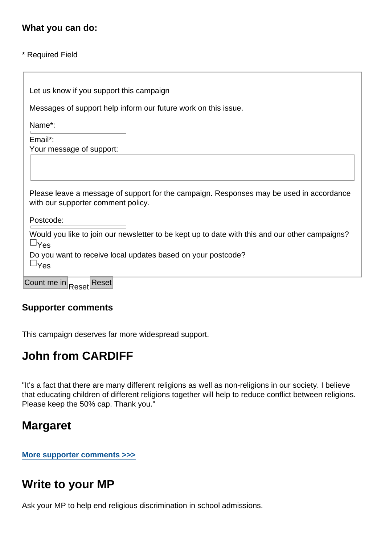| What you can do: |  |  |
|------------------|--|--|
|------------------|--|--|

#### \* Required Field

| Let us know if you support this campaign                                                                                      |
|-------------------------------------------------------------------------------------------------------------------------------|
| Messages of support help inform our future work on this issue.                                                                |
|                                                                                                                               |
| Name*:                                                                                                                        |
| Email*:                                                                                                                       |
| Your message of support:                                                                                                      |
|                                                                                                                               |
| Please leave a message of support for the campaign. Responses may be used in accordance<br>with our supporter comment policy. |
| Postcode:                                                                                                                     |
| Would you like to join our newsletter to be kept up to date with this and our other campaigns?<br>$\&$ Yes                    |
| Do you want to receive local updates based on your postcode?<br>$8y_{es}$                                                     |
| Count me in Reset<br>Reset                                                                                                    |

#### Supporter comments

This campaign deserves far more widespread support.

#### John from CARDIFF

"It's a fact that there are many different religions as well as non-religions in our society. I believe that educating children of different religions together will help to reduce conflict between religions. Please keep the 50% cap. Thank you."

#### Margaret

[More supporter comments >>>](https://www.secularism.org.uk/faith-schools/admissions-comments.html)

#### Write to your MP

Ask your MP to help end religious discrimination in school admissions.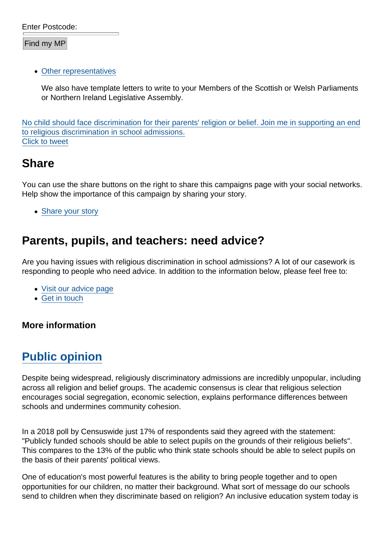[Enter Postcode:](https://twitter.com/intent/tweet?url=https://www.secularism.org.uk/faith-schools/end-pupil-discrimination.html&text=No+child+should+face+discrimination+for+their+parents)

Find my MP

[Other representatives](https://www.secularism.org.uk/write-to-your-mp.html)

We also have template letters to write to your Members of the Scottish or Welsh Parliaments or Northern Ireland Legislative Assembly.

No child should face discrimination for their parents' religion or belief. Join me in supporting an end to religious discrimination in school admissions. Click to tweet

### **Share**

You can use the share buttons on the right to share this campaigns page with your social networks. Help show the importance of this campaign by sharing your story.

• [Share your story](https://www.secularism.org.uk/stories.html)

### Parents, pupils, and teachers: need advice?

Are you having issues with religious discrimination in school admissions? A lot of our casework is responding to people who need advice. In addition to the information below, please feel free to:

- [Visit our advice page](https://www.secularism.org.uk/advice.html)
- [Get in touch](https://www.secularism.org.uk/contact.html)

More information

# [Public opinion](https://www.secularism.org.uk/faith-schools/admissions.html#e-202182-a)

Despite being widespread, religiously discriminatory admissions are incredibly unpopular, including across all religion and belief groups. The academic consensus is clear that religious selection encourages social segregation, economic selection, explains performance differences between schools and undermines community cohesion.

In a 2018 poll by Censuswide just 17% of respondents said they agreed with the statement: "Publicly funded schools should be able to select pupils on the grounds of their religious beliefs". This compares to the 13% of the public who think state schools should be able to select pupils on the basis of their parents' political views.

One of education's most powerful features is the ability to bring people together and to open opportunities for our children, no matter their background. What sort of message do our schools send to children when they discriminate based on religion? An inclusive education system today is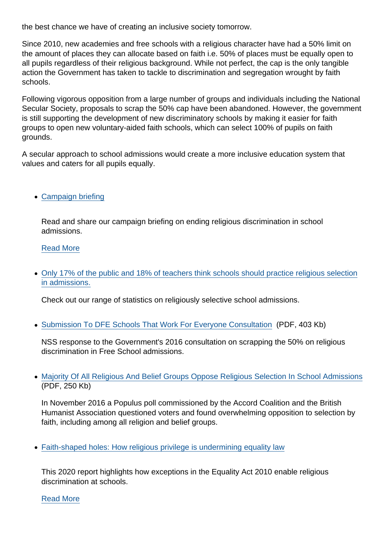the best chance we have of creating an inclusive society tomorrow.

Since 2010, new academies and free schools with a religious character have had a 50% limit on the amount of places they can allocate based on faith i.e. 50% of places must be equally open to all pupils regardless of their religious background. While not perfect, the cap is the only tangible action the Government has taken to tackle to discrimination and segregation wrought by faith schools.

Following vigorous opposition from a large number of groups and individuals including the National Secular Society, proposals to scrap the 50% cap have been abandoned. However, the government is still supporting the development of new discriminatory schools by making it easier for faith groups to open new voluntary-aided faith schools, which can select 100% of pupils on faith grounds.

A secular approach to school admissions would create a more inclusive education system that values and caters for all pupils equally.

#### • [Campaign briefing](https://www.secularism.org.uk/faith-schools/admissions-briefing.html)

Read and share our campaign briefing on ending religious discrimination in school admissions.

[Read More](https://www.secularism.org.uk/faith-schools/admissions-briefing.html)

[Only 17% of the public and 18% of teachers think schools should practice religious selection](https://www.secularism.org.uk/data#schooladstat) [in admissions.](https://www.secularism.org.uk/data#schooladstat)

Check out our range of statistics on religiously selective school admissions.

[Submission To DFE Schools That Work For Everyone Consultation](https://www.secularism.org.uk/uploads/submission-to-dfe-schools-that-work-for-everyone-consultation-6.pdf?v=1499095318) (PDF, 403 Kb)

NSS response to the Government's 2016 consultation on scrapping the 50% on religious discrimination in Free School admissions.

[Majority Of All Religious And Belief Groups Oppose Religious Selection In School Admissions](https://www.secularism.org.uk/uploads/majority-of-all-religious-and-belief-groups-oppose-religious-selection-in-school-admissions-17.pdf?v=1499095241) (PDF, 250 Kb)

In November 2016 a Populus poll commissioned by the Accord Coalition and the British Humanist Association questioned voters and found overwhelming opposition to selection by faith, including among all religion and belief groups.

[Faith-shaped holes: How religious privilege is undermining equality law](https://www.secularism.org.uk/defend-equality-laws/faith-shaped-holes-how-religious.html)

This 2020 report highlights how exceptions in the Equality Act 2010 enable religious discrimination at schools.

[Read More](https://www.secularism.org.uk/defend-equality-laws/faith-shaped-holes-how-religious.html)